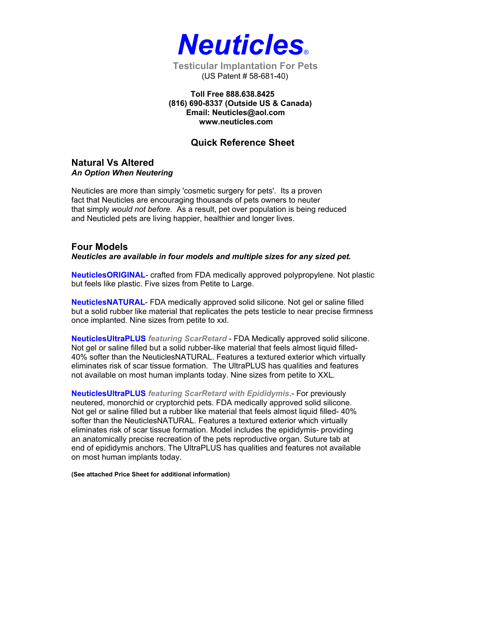

(US Patent # 58-681-40)

 **Toll Free 888.638.8425 (816) 690-8337 (Outside US & Canada) Email: Neuticles@aol.com www.neuticles.com** 

## **Quick Reference Sheet**

### **Natural Vs Altered**  *An Option When Neutering*

Neuticles are more than simply 'cosmetic surgery for pets'. Its a proven fact that Neuticles are encouraging thousands of pets owners to neuter that simply *would not before*. As a result, pet over population is being reduced and Neuticled pets are living happier, healthier and longer lives.

#### **Four Models**  *Neuticles are available in four models and multiple sizes for any sized pet.*

**NeuticlesORIGINAL**- crafted from FDA medically approved polypropylene. Not plastic but feels like plastic. Five sizes from Petite to Large.

**NeuticlesNATURAL**- FDA medically approved solid silicone. Not gel or saline filled but a solid rubber like material that replicates the pets testicle to near precise firmness once implanted. Nine sizes from petite to xxl.

**NeuticlesUltraPLUS** *featuring ScarRetard* - FDA Medically approved solid silicone. Not gel or saline filled but a solid rubber-like material that feels almost liquid filled-40% softer than the NeuticlesNATURAL. Features a textured exterior which virtually eliminates risk of scar tissue formation. The UltraPLUS has qualities and features not available on most human implants today. Nine sizes from petite to XXL.

**NeuticlesUltraPLUS** *featuring ScarRetard with Epididymis*.- For previously neutered, monorchid or cryptorchid pets. FDA medically approved solid silicone. Not gel or saline filled but a rubber like material that feels almost liquid filled- 40% softer than the NeuticlesNATURAL. Features a textured exterior which virtually eliminates risk of scar tissue formation. Model includes the epididymis- providing an anatomically precise recreation of the pets reproductive organ. Suture tab at end of epididymis anchors. The UltraPLUS has qualities and features not available on most human implants today.

**(See attached Price Sheet for additional information)**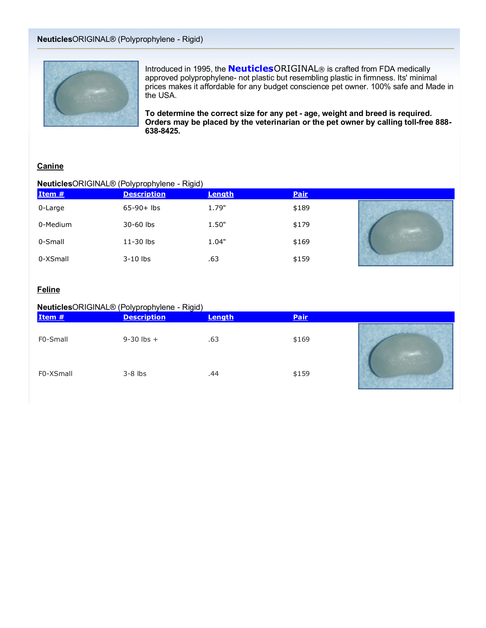

Introduced in 1995, the **Neuticles**ORIGINAL® is crafted from FDA medically approved polyprophylene- not plastic but resembling plastic in firmness. Its' minimal prices makes it affordable for any budget conscience pet owner. 100% safe and Made in the USA.

**To determine the correct size for any pet - age, weight and breed is required. Orders may be placed by the veterinarian or the pet owner by calling toll-free 888- 638-8425.**

### **Canine**

### **Neuticles**ORIGINAL® (Polyprophylene - Rigid)

| Item #   | .<br>__<br><b>Description</b> | Length | <b>Pair</b> |  |
|----------|-------------------------------|--------|-------------|--|
| 0-Large  | $65-90+$ lbs                  | 1.79"  | \$189       |  |
| 0-Medium | 30-60 lbs                     | 1.50"  | \$179       |  |
| 0-Small  | 11-30 lbs                     | 1.04"  | \$169       |  |
| 0-XSmall | $3-10$ lbs                    | .63    | \$159       |  |

### **Feline**

### **Neuticles**ORIGINAL® (Polyprophylene - Rigid)

| Item #    | .<br>__<br><b>Description</b> | Length | Pair  |  |
|-----------|-------------------------------|--------|-------|--|
| F0-Small  | $9 - 30$ lbs $+$              | .63    | \$169 |  |
| F0-XSmall | $3-8$ lbs                     | .44    | \$159 |  |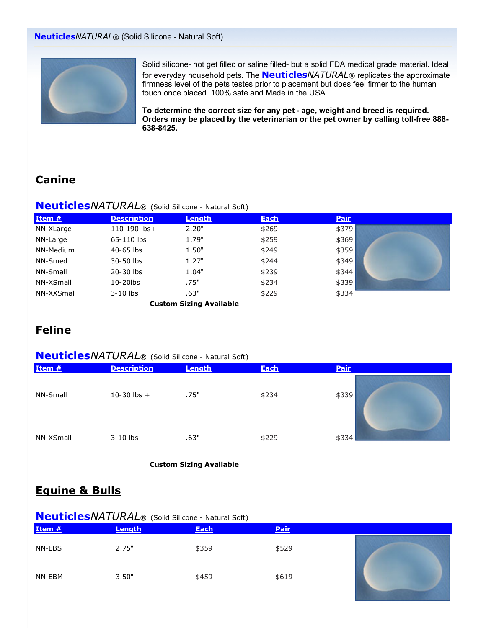

Solid silicone- not get filled or saline filled- but a solid FDA medical grade material. Ideal for everyday household pets. The **Neuticles***NATURAL*® replicates the approximate firmness level of the pets testes prior to placement but does feel firmer to the human touch once placed. 100% safe and Made in the USA.

**To determine the correct size for any pet - age, weight and breed is required. Orders may be placed by the veterinarian or the pet owner by calling toll-free 888- 638-8425.**

# **Canine**

### **Neuticles***NATURAL*® (Solid Silicone - Natural Soft)

| Item #     | <b>Description</b> | Length                         | <b>Each</b> | <b>Pair</b> |  |
|------------|--------------------|--------------------------------|-------------|-------------|--|
| NN-XLarge  | 110-190 lbs+       | 2.20"                          | \$269       | \$379       |  |
| NN-Large   | 65-110 lbs         | 1.79"                          | \$259       | \$369       |  |
| NN-Medium  | $40-65$ lbs        | 1.50"                          | \$249       | \$359       |  |
| NN-Smed    | 30-50 lbs          | 1.27"                          | \$244       | \$349       |  |
| NN-Small   | 20-30 lbs          | 1.04"                          | \$239       | \$344       |  |
| NN-XSmall  | $10-20$ lbs        | .75"                           | \$234       | \$339       |  |
| NN-XXSmall | $3-10$ lbs         | .63"                           | \$229       | \$334       |  |
|            |                    | <b>Custom Sizing Available</b> |             |             |  |

# **Feline**

## **Neuticles***NATURAL*® (Solid Silicone - Natural Soft)

| Item #    | <b>Description</b> | Length | <b>Each</b> | Pair  |
|-----------|--------------------|--------|-------------|-------|
| NN-Small  | $10-30$ lbs $+$    | .75"   | \$234       | \$339 |
| NN-XSmall | $3-10$ lbs         | .63"   | \$229       | \$334 |

**Custom Sizing Available**

## **Equine & Bulls**

## **Neuticles***NATURAL*® (Solid Silicone - Natural Soft)

| Item # | Length | <b>Each</b> | Pair  |  |
|--------|--------|-------------|-------|--|
| NN-EBS | 2.75"  | \$359       | \$529 |  |
| NN-EBM | 3.50"  | \$459       | \$619 |  |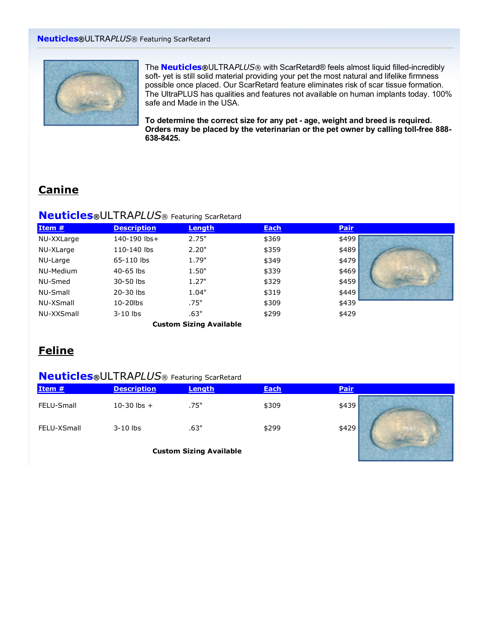

The **Neuticles®**ULTRA*PLUS*® with ScarRetard® feels almost liquid filled-incredibly soft- yet is still solid material providing your pet the most natural and lifelike firmness possible once placed. Our ScarRetard feature eliminates risk of scar tissue formation. The UltraPLUS has qualities and features not available on human implants today. 100% safe and Made in the USA.

**To determine the correct size for any pet - age, weight and breed is required. Orders may be placed by the veterinarian or the pet owner by calling toll-free 888- 638-8425.**

# **Canine**

## **Neuticles®**ULTRA*PLUS*® Featuring ScarRetard

| Item #     | <b>Description</b> | Length                         | <b>Each</b> | <b>Pair</b> |  |
|------------|--------------------|--------------------------------|-------------|-------------|--|
| NU-XXLarge | 140-190 lbs+       | 2.75"                          | \$369       | \$499       |  |
| NU-XLarge  | 110-140 lbs        | 2.20"                          | \$359       | \$489       |  |
| NU-Large   | 65-110 lbs         | 1.79"                          | \$349       | \$479       |  |
| NU-Medium  | 40-65 lbs          | 1.50"                          | \$339       | \$469       |  |
| NU-Smed    | 30-50 lbs          | 1.27"                          | \$329       | \$459       |  |
| NU-Small   | 20-30 lbs          | 1.04"                          | \$319       | \$449       |  |
| NU-XSmall  | 10-20lbs           | .75"                           | \$309       | \$439       |  |
| NU-XXSmall | $3-10$ lbs         | .63"                           | \$299       | \$429       |  |
|            |                    | <b>Custom Sizing Available</b> |             |             |  |

# **Feline**

## **Neuticles®**ULTRA*PLUS*® Featuring ScarRetard

| Item #      | <b>Description</b> | Length | <b>Each</b> | <b>Pair</b> |
|-------------|--------------------|--------|-------------|-------------|
| FELU-Small  | $10-30$ lbs $+$    | .75"   | \$309       | \$439       |
| FELU-XSmall | $3-10$ lbs         | .63"   | \$299       | \$429       |

**Custom Sizing Available**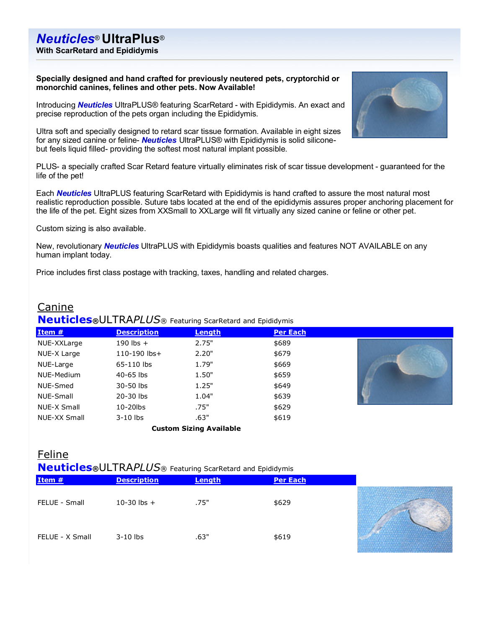**With ScarRetard and Epididymis**

**Specially designed and hand crafted for previously neutered pets, cryptorchid or monorchid canines, felines and other pets. Now Available!**

Introducing *Neuticles* UltraPLUS® featuring ScarRetard - with Epididymis. An exact and precise reproduction of the pets organ including the Epididymis.

Ultra soft and specially designed to retard scar tissue formation. Available in eight sizes for any sized canine or feline- *Neuticles* UltraPLUS® with Epididymis is solid siliconebut feels liquid filled- providing the softest most natural implant possible.

PLUS- a specially crafted Scar Retard feature virtually eliminates risk of scar tissue development - guaranteed for the life of the pet!

Each *Neuticles* UltraPLUS featuring ScarRetard with Epididymis is hand crafted to assure the most natural most realistic reproduction possible. Suture tabs located at the end of the epididymis assures proper anchoring placement for the life of the pet. Eight sizes from XXSmall to XXLarge will fit virtually any sized canine or feline or other pet.

Custom sizing is also available.

New, revolutionary *Neuticles* UltraPLUS with Epididymis boasts qualities and features NOT AVAILABLE on any human implant today.

Price includes first class postage with tracking, taxes, handling and related charges.

## Canine **Neuticles®**ULTRA*PLUS*® Featuring ScarRetard and Epididymis

| Item $#$     | <b>Description</b> | Length                         | <b>Per Each</b> |  |
|--------------|--------------------|--------------------------------|-----------------|--|
| NUE-XXLarge  | 190 lbs $+$        | 2.75"                          | \$689           |  |
| NUE-X Large  | 110-190 lbs+       | 2.20"                          | \$679           |  |
| NUE-Large    | 65-110 lbs         | 1.79"                          | \$669           |  |
| NUE-Medium   | $40-65$ lbs        | 1.50"                          | \$659           |  |
| NUE-Smed     | 30-50 lbs          | 1.25"                          | \$649           |  |
| NUE-Small    | 20-30 lbs          | 1.04"                          | \$639           |  |
| NUE-X Small  | $10-20$ lbs        | .75"                           | \$629           |  |
| NUE-XX Small | $3-10$ lbs         | .63"                           | \$619           |  |
|              |                    | <b>Custom Sizing Available</b> |                 |  |

## Feline **Neuticles®**ULTRA*PLUS*® Featuring ScarRetard and Epididymis

| Item #          | <b>Description</b> | Length | <b>Per Each</b> |  |
|-----------------|--------------------|--------|-----------------|--|
| FELUE - Small   | 10-30 lbs $+$      | .75"   | \$629           |  |
| FELUE - X Small | $3-10$ lbs         | .63"   | \$619           |  |

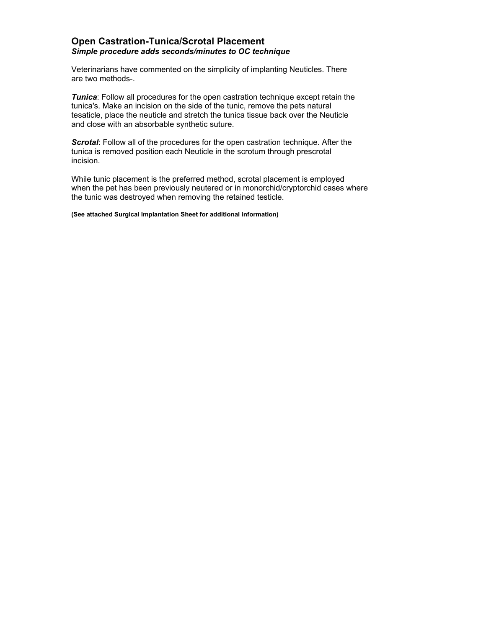### **Open Castration-Tunica/Scrotal Placement**  *Simple procedure adds seconds/minutes to OC technique*

Veterinarians have commented on the simplicity of implanting Neuticles. There are two methods-.

*Tunica*: Follow all procedures for the open castration technique except retain the tunica's. Make an incision on the side of the tunic, remove the pets natural tesaticle, place the neuticle and stretch the tunica tissue back over the Neuticle and close with an absorbable synthetic suture.

*Scrotal*: Follow all of the procedures for the open castration technique. After the tunica is removed position each Neuticle in the scrotum through prescrotal incision.

While tunic placement is the preferred method, scrotal placement is employed when the pet has been previously neutered or in monorchid/cryptorchid cases where the tunic was destroyed when removing the retained testicle.

**(See attached Surgical Implantation Sheet for additional information)**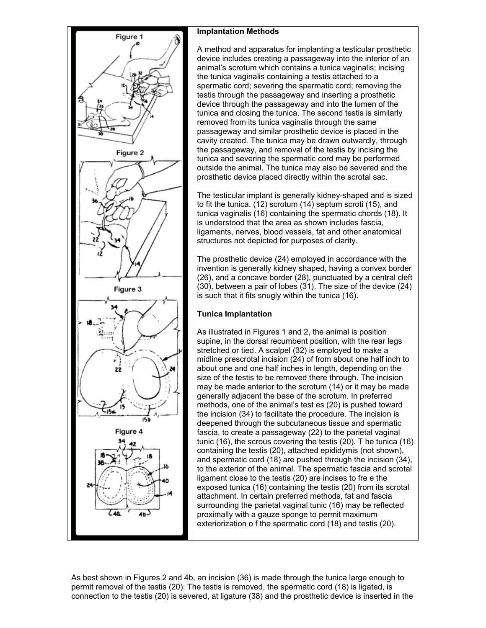

### **Implantation Methods**

A method and apparatus for implanting a testicular prosthetic device includes creating a passageway into the interior of an animal's scrotum which contains a tunica vaginalis; incising the tunica vaginalis containing a testis attached to a spermatic cord; severing the spermatic cord; removing the testis through the passageway and inserting a prosthetic device through the passageway and into the lumen of the tunica and closing the tunica. The second testis is similarly removed from its tunica vaginalis through the same passageway and similar prosthetic device is placed in the cavity created. The tunica may be drawn outwardly, through the passageway, and removal of the testis by incising the tunica and severing the spermatic cord may be performed outside the animal. The tunica may also be severed and the prosthetic device placed directly within the scrotal sac.

The testicular implant is generally kidney-shaped and is sized to fit the tunica. (12) scrotum (14) septum scroti (15), and tunica vaginalis (16) containing the spermatic chords (18). It is understood that the area as shown includes fascia, ligaments, nerves, blood vessels, fat and other anatomical structures not depicted for purposes of clarity.

The prosthetic device (24) employed in accordance with the invention is generally kidney shaped, having a convex border (26), and a concave border (28), punctuated by a central cleft (30), between a pair of lobes (31). The size of the device (24) is such that it fits snugly within the tunica (16).

## **Tunica Implantation**

As illustrated in Figures 1 and 2, the animal is position supine, in the dorsal recumbent position, with the rear legs stretched or tied. A scalpel (32) is employed to make a midline prescrotal incision (24) of from about one half inch to about one and one half inches in length, depending on the size of the testis to be removed there through. The incision may be made anterior to the scrotum (14) or it may be made generally adjacent the base of the scrotum. In preferred methods, one of the animal's test es (20) is pushed toward the incision (34) to facilitate the procedure. The incision is deepened through the subcutaneous tissue and spermatic fascia, to create a passageway (22) to the parietal vaginal tunic (16), the scrous covering the testis (20). T he tunica (16) containing the testis (20), attached epididymis (not shown), and spermatic cord (18) are pushed through the incision (34), to the exterior of the animal. The spermatic fascia and scrotal ligament close to the testis (20) are incises to fre e the exposed tunica (16) containing the testis (20) from its scrotal attachment. In certain preferred methods, fat and fascia surrounding the parietal vaginal tunic (16) may be reflected proximally with a gauze sponge to permit maximum exteriorization o f the spermatic cord (18) and testis (20).

As best shown in Figures 2 and 4b, an incision (36) is made through the tunica large enough to permit removal of the testis (20). The testis is removed, the spermatic cord (18) is ligated, is connection to the testis (20) is severed, at ligature (38) and the prosthetic device is inserted in the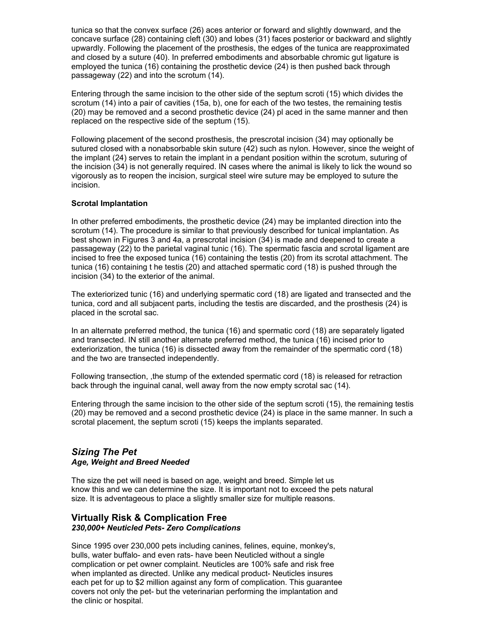tunica so that the convex surface (26) aces anterior or forward and slightly downward, and the concave surface (28) containing cleft (30) and lobes (31) faces posterior or backward and slightly upwardly. Following the placement of the prosthesis, the edges of the tunica are reapproximated and closed by a suture (40). In preferred embodiments and absorbable chromic gut ligature is employed the tunica (16) containing the prosthetic device (24) is then pushed back through passageway (22) and into the scrotum (14).

Entering through the same incision to the other side of the septum scroti (15) which divides the scrotum (14) into a pair of cavities (15a, b), one for each of the two testes, the remaining testis (20) may be removed and a second prosthetic device (24) pl aced in the same manner and then replaced on the respective side of the septum (15).

Following placement of the second prosthesis, the prescrotal incision (34) may optionally be sutured closed with a nonabsorbable skin suture (42) such as nylon. However, since the weight of the implant (24) serves to retain the implant in a pendant position within the scrotum, suturing of the incision (34) is not generally required. IN cases where the animal is likely to lick the wound so vigorously as to reopen the incision, surgical steel wire suture may be employed to suture the incision.

#### **Scrotal Implantation**

In other preferred embodiments, the prosthetic device (24) may be implanted direction into the scrotum (14). The procedure is similar to that previously described for tunical implantation. As best shown in Figures 3 and 4a, a prescrotal incision (34) is made and deepened to create a passageway (22) to the parietal vaginal tunic (16). The spermatic fascia and scrotal ligament are incised to free the exposed tunica (16) containing the testis (20) from its scrotal attachment. The tunica (16) containing t he testis (20) and attached spermatic cord (18) is pushed through the incision (34) to the exterior of the animal.

The exteriorized tunic (16) and underlying spermatic cord (18) are ligated and transected and the tunica, cord and all subjacent parts, including the testis are discarded, and the prosthesis (24) is placed in the scrotal sac.

In an alternate preferred method, the tunica (16) and spermatic cord (18) are separately ligated and transected. IN still another alternate preferred method, the tunica (16) incised prior to exteriorization, the tunica (16) is dissected away from the remainder of the spermatic cord (18) and the two are transected independently.

Following transection, ,the stump of the extended spermatic cord (18) is released for retraction back through the inguinal canal, well away from the now empty scrotal sac (14).

Entering through the same incision to the other side of the septum scroti (15), the remaining testis (20) may be removed and a second prosthetic device (24) is place in the same manner. In such a scrotal placement, the septum scroti (15) keeps the implants separated.

### *Sizing The Pet Age, Weight and Breed Needed*

The size the pet will need is based on age, weight and breed. Simple let us know this and we can determine the size. It is important not to exceed the pets natural size. It is adventageous to place a slightly smaller size for multiple reasons.

### **Virtually Risk & Complication Free**  *230,000+ Neuticled Pets- Zero Complications*

Since 1995 over 230,000 pets including canines, felines, equine, monkey's, bulls, water buffalo- and even rats- have been Neuticled without a single complication or pet owner complaint. Neuticles are 100% safe and risk free when implanted as directed. Unlike any medical product- Neuticles insures each pet for up to \$2 million against any form of complication. This guarantee covers not only the pet- but the veterinarian performing the implantation and the clinic or hospital.